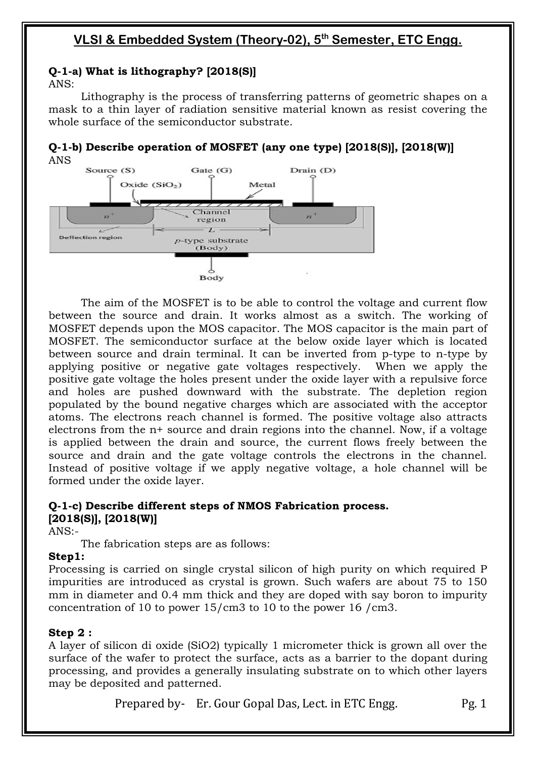### **Q-1-a) What is lithography? [2018(S)]**

ANS:

Lithography is the process of transferring patterns of geometric shapes on a mask to a thin layer of radiation sensitive material known as resist covering the whole surface of the semiconductor substrate.

#### **Q-1-b) Describe operation of MOSFET (any one type) [2018(S)], [2018(W)]** ANS



The aim of the MOSFET is to be able to control the voltage and current flow between the source and drain. It works almost as a switch. The working of MOSFET depends upon the MOS capacitor. The MOS capacitor is the main part of MOSFET. The semiconductor surface at the below oxide layer which is located between source and drain terminal. It can be inverted from p-type to n-type by applying positive or negative gate voltages respectively. When we apply the positive gate voltage the holes present under the oxide layer with a repulsive force and holes are pushed downward with the substrate. The depletion region populated by the bound negative charges which are associated with the acceptor atoms. The electrons reach channel is formed. The positive voltage also attracts electrons from the n+ source and drain regions into the channel. Now, if a voltage is applied between the drain and source, the current flows freely between the source and drain and the gate voltage controls the electrons in the channel. Instead of positive voltage if we apply negative voltage, a hole channel will be formed under the oxide layer.

### **Q-1-c) Describe different steps of NMOS Fabrication process. [2018(S)], [2018(W)]**

ANS:-

The fabrication steps are as follows:

### **Step1:**

Processing is carried on single crystal silicon of high purity on which required P impurities are introduced as crystal is grown. Such wafers are about 75 to 150 mm in diameter and 0.4 mm thick and they are doped with say boron to impurity concentration of 10 to power 15/cm3 to 10 to the power 16 /cm3.

### **Step 2 :**

A layer of silicon di oxide (SiO2) typically 1 micrometer thick is grown all over the surface of the wafer to protect the surface, acts as a barrier to the dopant during processing, and provides a generally insulating substrate on to which other layers may be deposited and patterned.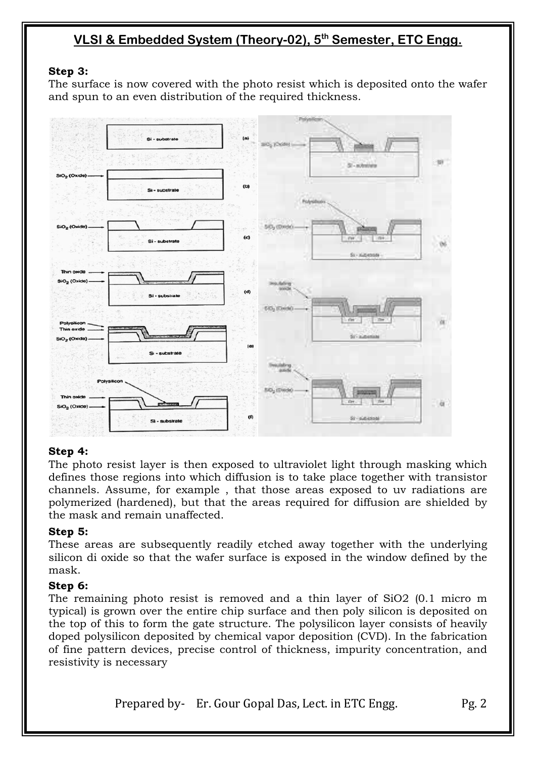### **Step 3:**

The surface is now covered with the photo resist which is deposited onto the wafer and spun to an even distribution of the required thickness.



### **Step 4:**

The photo resist layer is then exposed to ultraviolet light through masking which defines those regions into which diffusion is to take place together with transistor channels. Assume, for example , that those areas exposed to uv radiations are polymerized (hardened), but that the areas required for diffusion are shielded by the mask and remain unaffected.

### **Step 5:**

These areas are subsequently readily etched away together with the underlying silicon di oxide so that the wafer surface is exposed in the window defined by the mask.

### **Step 6:**

The remaining photo resist is removed and a thin layer of SiO2 (0.1 micro m typical) is grown over the entire chip surface and then poly silicon is deposited on the top of this to form the gate structure. The polysilicon layer consists of heavily doped polysilicon deposited by chemical vapor deposition (CVD). In the fabrication of fine pattern devices, precise control of thickness, impurity concentration, and resistivity is necessary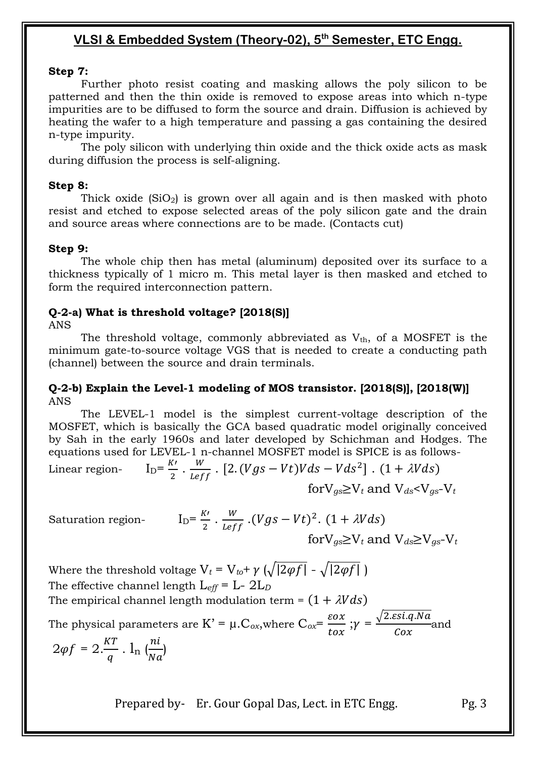### **Step 7:**

Further photo resist coating and masking allows the poly silicon to be patterned and then the thin oxide is removed to expose areas into which n-type impurities are to be diffused to form the source and drain. Diffusion is achieved by heating the wafer to a high temperature and passing a gas containing the desired n-type impurity.

The poly silicon with underlying thin oxide and the thick oxide acts as mask during diffusion the process is self-aligning.

### **Step 8:**

Thick oxide  $(SiO_2)$  is grown over all again and is then masked with photo resist and etched to expose selected areas of the poly silicon gate and the drain and source areas where connections are to be made. (Contacts cut)

### **Step 9:**

The whole chip then has metal (aluminum) deposited over its surface to a thickness typically of 1 micro m. This metal layer is then masked and etched to form the required interconnection pattern.

### **Q-2-a) What is threshold voltage? [2018(S)]**

ANS

The threshold voltage, commonly abbreviated as  $V_{th}$ , of a MOSFET is the minimum gate-to-source voltage VGS that is needed to create a conducting path (channel) between the source and drain terminals.

### **Q-2-b) Explain the Level-1 modeling of MOS transistor. [2018(S)], [2018(W)]** ANS

The LEVEL-1 model is the simplest current-voltage description of the MOSFET, which is basically the GCA based quadratic model originally conceived by Sah in the early 1960s and later developed by Schichman and Hodges. The equations used for LEVEL-1 n-channel MOSFET model is SPICE is as follows-

Linear region- 
$$
I_D = \frac{K'}{2} \cdot \frac{W}{Leff} \cdot [2. (Vgs - Vt)Vds - Vds^2]
$$
.  $(1 + \lambda Vds)$   
for $V_{gs} \ge V_t$  and  $V_{ds} < V_{gs} - V_t$ 

Saturation region- $I_1$ 

$$
{}_{D} = \frac{K'}{2} \cdot \frac{W}{Leff} \cdot (Vgs - Vt)^{2} \cdot (1 + \lambda Vds)
$$
  
for  $V_{gs} \ge V_t$  and  $V_{ds} \ge V_{gs} - V_t$ 

Where the threshold voltage  $V_t = V_{t0} + \gamma \left( \sqrt{2\varphi f} \right) - \sqrt{2\varphi f}$ The effective channel length L*eff* = L- 2L*<sup>D</sup>* The empirical channel length modulation term =  $(1 + \lambda V ds)$ 

The physical parameters are K' =  $\mu$ .C<sub>ox</sub>,where C<sub>ox</sub>=  $\frac{\varepsilon}{\varepsilon}$  $\frac{\varepsilon \sigma x}{\varepsilon \sigma x}; \gamma = \frac{\sqrt{2}}{2}$  $\frac{1}{\cos \theta}$  and  $2\varphi f = 2.\frac{KT}{q}$ .  $l_n \left(\frac{n}{N}\right)$  $\frac{nc}{Na}$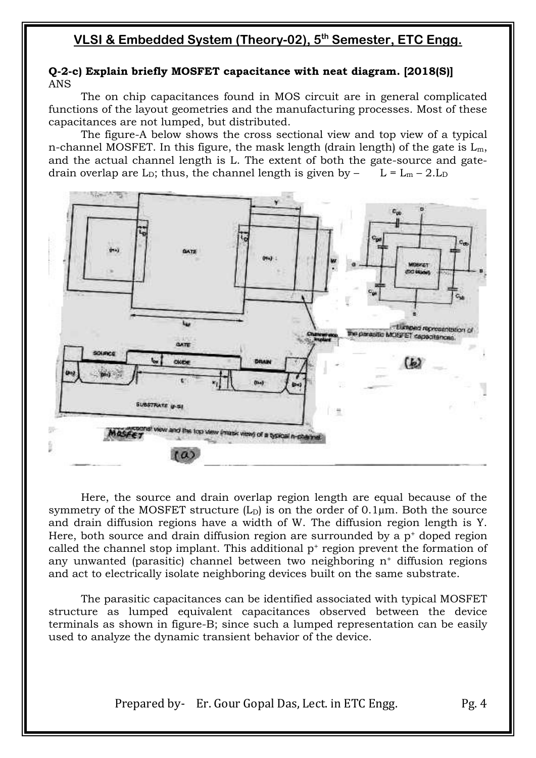### **Q-2-c) Explain briefly MOSFET capacitance with neat diagram. [2018(S)]** ANS

The on chip capacitances found in MOS circuit are in general complicated functions of the layout geometries and the manufacturing processes. Most of these capacitances are not lumped, but distributed.

The figure-A below shows the cross sectional view and top view of a typical n-channel MOSFET. In this figure, the mask length (drain length) of the gate is  $L_m$ , and the actual channel length is L. The extent of both the gate-source and gatedrain overlap are L<sub>D</sub>; thus, the channel length is given by  $-$  L = L<sub>m</sub> – 2.L<sub>D</sub>



Here, the source and drain overlap region length are equal because of the symmetry of the MOSFET structure  $(L<sub>D</sub>)$  is on the order of 0.1 $\mu$ m. Both the source and drain diffusion regions have a width of W. The diffusion region length is Y. Here, both source and drain diffusion region are surrounded by a  $p<sup>+</sup>$  doped region called the channel stop implant. This additional  $p^+$  region prevent the formation of any unwanted (parasitic) channel between two neighboring n<sup>+</sup> diffusion regions and act to electrically isolate neighboring devices built on the same substrate.

The parasitic capacitances can be identified associated with typical MOSFET structure as lumped equivalent capacitances observed between the device terminals as shown in figure-B; since such a lumped representation can be easily used to analyze the dynamic transient behavior of the device.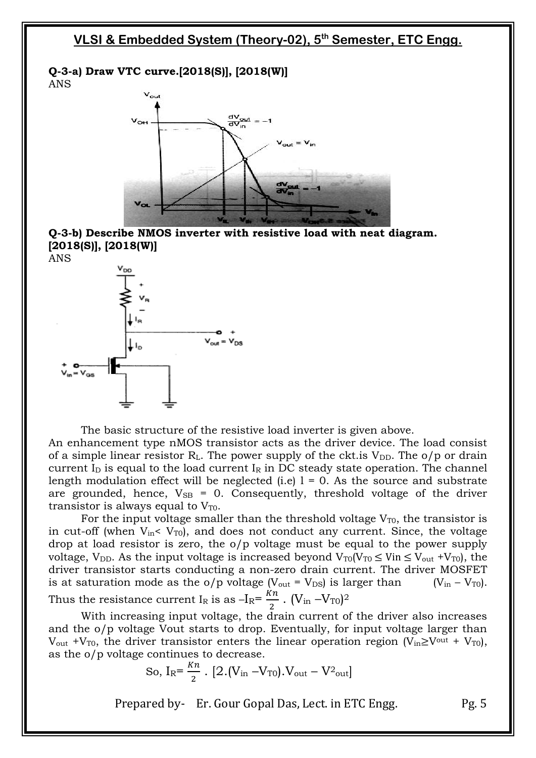

ANS



**Q-3-b) Describe NMOS inverter with resistive load with neat diagram. [2018(S)], [2018(W)]**



The basic structure of the resistive load inverter is given above. An enhancement type nMOS transistor acts as the driver device. The load consist of a simple linear resistor  $R<sub>L</sub>$ . The power supply of the ckt. is  $V<sub>DD</sub>$ . The o/p or drain

current  $I<sub>D</sub>$  is equal to the load current  $I<sub>R</sub>$  in DC steady state operation. The channel length modulation effect will be neglected (i.e)  $l = 0$ . As the source and substrate are grounded, hence,  $V_{SB} = 0$ . Consequently, threshold voltage of the driver transistor is always equal to  $V_{T0}$ .

For the input voltage smaller than the threshold voltage  $V_{T0}$ , the transistor is in cut-off (when  $V_{in}$ <  $V_{T0}$ ), and does not conduct any current. Since, the voltage drop at load resistor is zero, the o/p voltage must be equal to the power supply voltage, V<sub>DD</sub>. As the input voltage is increased beyond  $V_{T0}(V_{T0} \leq V_{T0} \leq V_{out} + V_{T0})$ , the driver transistor starts conducting a non-zero drain current. The driver MOSFET is at saturation mode as the  $o/p$  voltage  $(V_{out} = V_{DS})$  is larger than  $(V_{in} - V_{T0})$ . Thus the resistance current I<sub>R</sub> is as  $-I_R = \frac{K}{I}$  $\frac{M}{2}$ .  $(V_{\rm in} - V_{\rm TO})^2$ 

With increasing input voltage, the drain current of the driver also increases and the o/p voltage Vout starts to drop. Eventually, for input voltage larger than  $V_{\text{out}}$  +V<sub>T0</sub>, the driver transistor enters the linear operation region (V<sub>in</sub> $\geq$ V<sup>out</sup> + V<sub>T0</sub>), as the o/p voltage continues to decrease.

So, I<sub>R</sub>=
$$
\frac{Kn}{2}
$$
. [2.(V<sub>in</sub> -V<sub>T0</sub>).V<sub>out</sub> - V<sup>2</sup><sub>out</sub>]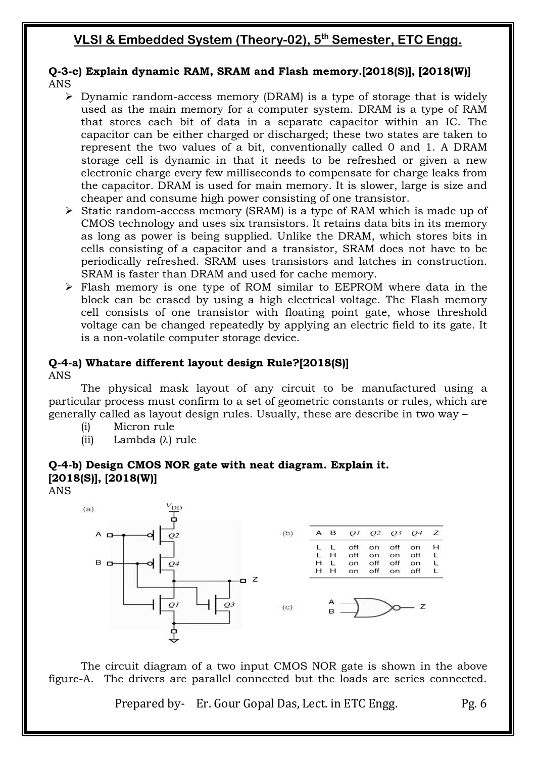### **Q-3-c) Explain dynamic RAM, SRAM and Flash memory.[2018(S)], [2018(W)]** ANS

- $\triangleright$  Dynamic random-access memory (DRAM) is a type of storage that is widely used as the main memory for a computer system. DRAM is a type of RAM that stores each bit of data in a separate capacitor within an IC. The capacitor can be either charged or discharged; these two states are taken to represent the two values of a bit, conventionally called 0 and 1. A DRAM storage cell is dynamic in that it needs to be refreshed or given a new electronic charge every few milliseconds to compensate for charge leaks from the capacitor. DRAM is used for main memory. It is slower, large is size and cheaper and consume high power consisting of one transistor.
- $\triangleright$  Static random-access memory (SRAM) is a type of RAM which is made up of CMOS technology and uses six transistors. It retains data bits in its memory as long as power is being supplied. Unlike the DRAM, which stores bits in cells consisting of a capacitor and a transistor, SRAM does not have to be periodically refreshed. SRAM uses transistors and latches in construction. SRAM is faster than DRAM and used for cache memory.
- Flash memory is one type of ROM similar to EEPROM where data in the block can be erased by using a high electrical voltage. The Flash memory cell consists of one transistor with floating point gate, whose threshold voltage can be changed repeatedly by applying an electric field to its gate. It is a non-volatile computer storage device.

#### **Q-4-a) Whatare different layout design Rule?[2018(S)]** ANS

The physical mask layout of any circuit to be manufactured using a particular process must confirm to a set of geometric constants or rules, which are generally called as layout design rules. Usually, these are describe in two way –

- (i) Micron rule
- (ii) Lambda  $(\lambda)$  rule

## **Q-4-b) Design CMOS NOR gate with neat diagram. Explain it. [2018(S)], [2018(W)]**

ANS



The circuit diagram of a two input CMOS NOR gate is shown in the above figure-A. The drivers are parallel connected but the loads are series connected.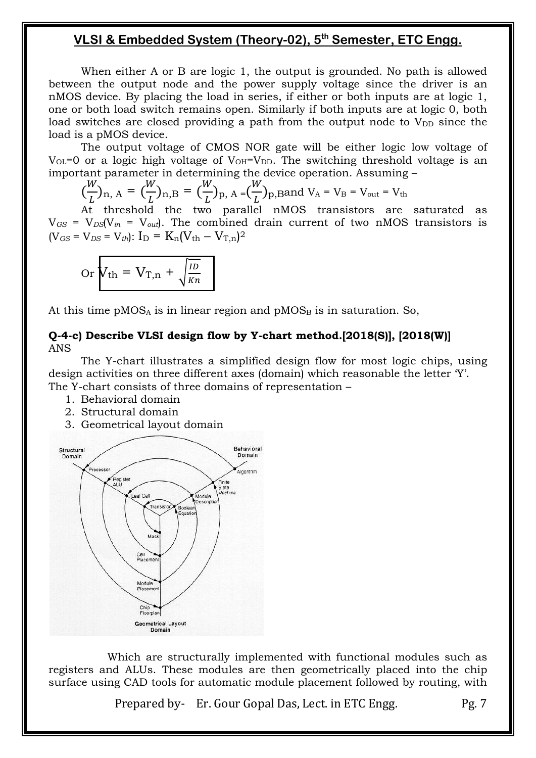When either A or B are logic 1, the output is grounded. No path is allowed between the output node and the power supply voltage since the driver is an nMOS device. By placing the load in series, if either or both inputs are at logic 1, one or both load switch remains open. Similarly if both inputs are at logic 0, both load switches are closed providing a path from the output node to  $V_{DD}$  since the load is a pMOS device.

The output voltage of CMOS NOR gate will be either logic low voltage of  $V_{OL}=0$  or a logic high voltage of  $V_{OH}=V_{DD}$ . The switching threshold voltage is an important parameter in determining the device operation. Assuming –

$$
\left(\frac{W}{L}\right)_{n, A} = \left(\frac{W}{L}\right)_{n, B} = \left(\frac{W}{L}\right)_{p, A} = \left(\frac{W}{L}\right)_{p, B}
$$
 and  $V_A = V_B = V_{out} = V_{th}$ 

At threshold the two parallel nMOS transistors are saturated as  $V_{GS} = V_{DS}(V_{in} = V_{out})$ . The combined drain current of two nMOS transistors is  $(V_{GS} = V_{DS} = V_{th})$ :  $I_D = K_n (V_{th} - V_{T,n})^2$ 

$$
\text{Or}\ \overline{V_{\text{th}} = V_{\text{T,n}} + \sqrt{\frac{ID}{Kn}}}
$$

At this time  $pMOS_A$  is in linear region and  $pMOS_B$  is in saturation. So,

#### **Q-4-c) Describe VLSI design flow by Y-chart method.[2018(S)], [2018(W)]** ANS

The Y-chart illustrates a simplified design flow for most logic chips, using design activities on three different axes (domain) which reasonable the letter Y'. The Y-chart consists of three domains of representation –

- 1. Behavioral domain
- 2. Structural domain
- 3. Geometrical layout domain



 Which are structurally implemented with functional modules such as registers and ALUs. These modules are then geometrically placed into the chip surface using CAD tools for automatic module placement followed by routing, with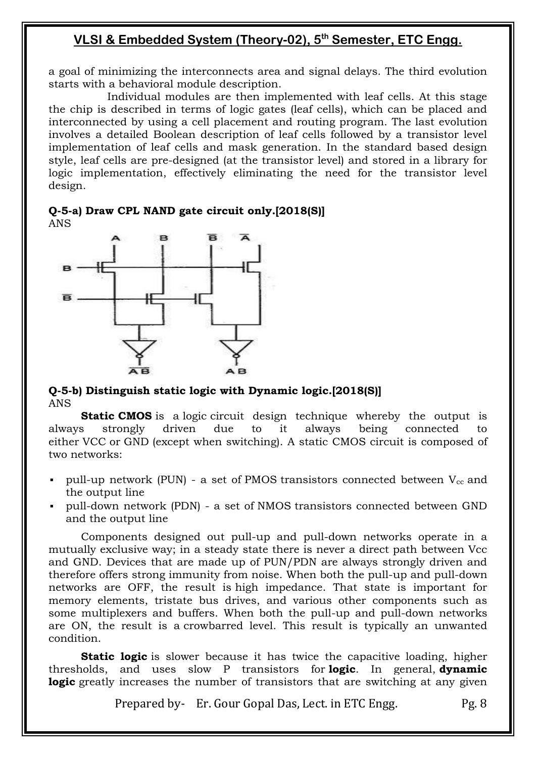a goal of minimizing the interconnects area and signal delays. The third evolution starts with a behavioral module description.

 Individual modules are then implemented with leaf cells. At this stage the chip is described in terms of logic gates (leaf cells), which can be placed and interconnected by using a cell placement and routing program. The last evolution involves a detailed Boolean description of leaf cells followed by a transistor level implementation of leaf cells and mask generation. In the standard based design style, leaf cells are pre-designed (at the transistor level) and stored in a library for logic implementation, effectively eliminating the need for the transistor level design.

**Q-5-a) Draw CPL NAND gate circuit only.[2018(S)]** ANS



### **Q-5-b) Distinguish static logic with Dynamic logic.[2018(S)]** ANS

**Static [CMOS](https://en.wikichip.org/wiki/CMOS)** is a [logic](https://en.wikichip.org/wiki/logic_gate) circuit design technique whereby the output is always strongly driven due to it always being connected to either [VCC](https://en.wikichip.org/w/index.php?title=VCC&action=edit&redlink=1) or [GND](https://en.wikichip.org/wiki/GND) (except when switching). A static CMOS circuit is composed of two networks:

- pull-up network (PUN) a set of [PMOS](https://en.wikichip.org/w/index.php?title=PMOS&action=edit&redlink=1) transistors connected between  $V_{cc}$  and the output line
- pull-down network (PDN) a set of [NMOS](https://en.wikichip.org/w/index.php?title=NMOS&action=edit&redlink=1) transistors connected between GND and the output line

Components designed out pull-up and pull-down networks operate in a mutually exclusive way; in a steady state there is never a direct path between Vcc and GND. Devices that are made up of PUN/PDN are always strongly driven and therefore offers strong immunity from noise. When both the pull-up and pull-down networks are OFF, the result is [high impedance.](https://en.wikichip.org/w/index.php?title=high_impedance&action=edit&redlink=1) That state is important for memory elements, tristate bus drives, and various other components such as some multiplexers and buffers. When both the pull-up and pull-down networks are ON, the result is a [crowbarred level.](https://en.wikichip.org/w/index.php?title=crowbarred_level&action=edit&redlink=1) This result is typically an unwanted condition.

**Static logic** is slower because it has twice the capacitive loading, higher thresholds, and uses slow P transistors for **logic**. In general, **dynamic logic** greatly increases the number of transistors that are switching at any given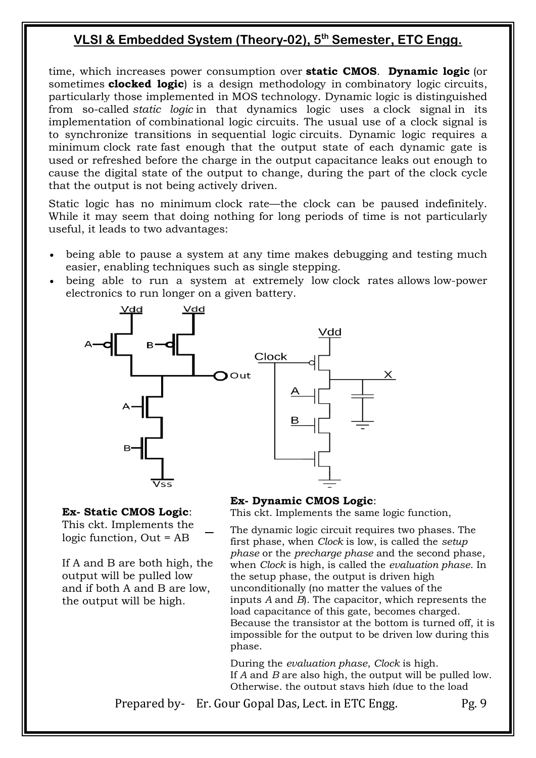time, which increases power consumption over **static CMOS**. **Dynamic logic** (or sometimes **clocked logic**) is a design methodology in [combinatory logic](https://en.wikipedia.org/wiki/Combinational_logic) circuits, particularly those implemented in [MOS](https://en.wikipedia.org/wiki/MOSFET) technology. Dynamic logic is distinguished from so-called *static logic* in that dynamics logic uses a [clock signal](https://en.wikipedia.org/wiki/Clock_signal) in its implementation of [combinational logic](https://en.wikipedia.org/wiki/Combinational_logic) circuits. The usual use of a clock signal is to synchronize transitions in [sequential logic](https://en.wikipedia.org/wiki/Sequential_logic) circuits. Dynamic logic requires a minimum [clock rate](https://en.wikipedia.org/wiki/Clock_rate) fast enough that the output state of each dynamic gate is used or refreshed before the charge in the output capacitance leaks out enough to cause the digital state of the output to change, during the part of the clock cycle that the output is not being actively driven.

Static logic has no minimum [clock rate](https://en.wikipedia.org/wiki/Clock_rate)—the clock can be paused indefinitely. While it may seem that doing nothing for long periods of time is not particularly useful, it leads to two advantages:

- being able to pause a system at any time makes debugging and testing much easier, enabling techniques such as [single stepping.](https://en.wikipedia.org/wiki/Instruction_step)
- being able to run a system at extremely low [clock rates](https://en.wikipedia.org/wiki/Clock_rate) allows [low-power](https://en.wikipedia.org/wiki/Low-power_electronics)  [electronics](https://en.wikipedia.org/wiki/Low-power_electronics) to run longer on a given battery.



#### **Ex- Static CMOS Logic**:

This ckt. Implements the logic function, Out = AB

If A and B are both high, the output will be pulled low and if both A and B are low, the output will be high.

#### **Ex- Dynamic CMOS Logic**:

This ckt. Implements the same logic function,

The dynamic logic circuit requires two phases. The first phase, when *Clock* is low, is called the *setup phase* or the *precharge phase* and the second phase, when *Clock* is high, is called the *evaluation phase*. In the setup phase, the output is driven high unconditionally (no matter the values of the inputs *A* and *B*). The [capacitor,](https://en.wikipedia.org/wiki/Capacitor) which represents the load capacitance of this gate, becomes charged. Because the transistor at the bottom is turned off, it is impossible for the output to be driven low during this phase.

During the *evaluation phase*, *Clock* is high. If *A* and *B* are also high, the output will be pulled low. Otherwise, the output stays high (due to the load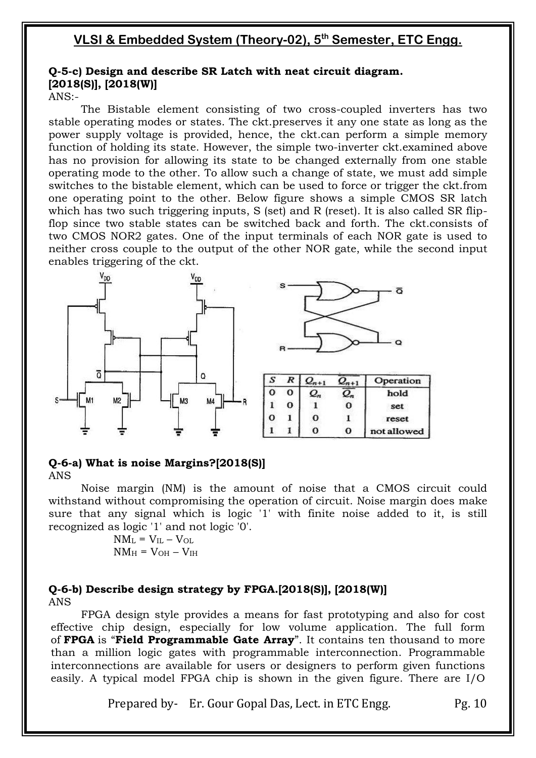### **Q-5-c) Design and describe SR Latch with neat circuit diagram. [2018(S)], [2018(W)]**

ANS:-

The Bistable element consisting of two cross-coupled inverters has two stable operating modes or states. The ckt.preserves it any one state as long as the power supply voltage is provided, hence, the ckt.can perform a simple memory function of holding its state. However, the simple two-inverter ckt.examined above has no provision for allowing its state to be changed externally from one stable operating mode to the other. To allow such a change of state, we must add simple switches to the bistable element, which can be used to force or trigger the ckt.from one operating point to the other. Below figure shows a simple CMOS SR latch which has two such triggering inputs, S (set) and R (reset). It is also called SR flipflop since two stable states can be switched back and forth. The ckt.consists of two CMOS NOR2 gates. One of the input terminals of each NOR gate is used to neither cross couple to the output of the other NOR gate, while the second input enables triggering of the ckt.



#### **Q-6-a) What is noise Margins?[2018(S)]** ANS

Noise margin (NM) is the amount of noise that a CMOS circuit could withstand without compromising the operation of circuit. Noise margin does make sure that any signal which is logic '1' with finite noise added to it, is still recognized as logic '1' and not logic '0'.

$$
\begin{aligned} \mathrm{NM_L} &= \mathrm{V_{IL}} - \mathrm{V_{OL}} \\ \mathrm{NM_H} &= \mathrm{V_{OH}} - \mathrm{V_{IH}} \end{aligned}
$$

### **Q-6-b) Describe design strategy by FPGA.[2018(S)], [2018(W)]** ANS

FPGA design style provides a means for fast prototyping and also for cost effective chip design, especially for low volume application. The full form of FPGA is "Field Programmable Gate Array". It contains ten thousand to more than a million logic gates with programmable interconnection. Programmable interconnections are available for users or designers to perform given functions easily. A typical model FPGA chip is shown in the given figure. There are I/O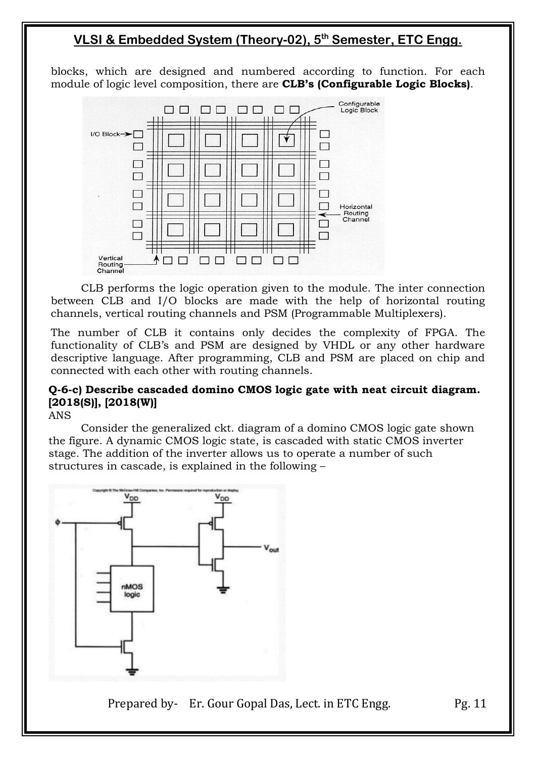blocks, which are designed and numbered according to function. For each module of logic level composition, there are **CLB's (Configurable Logic Blocks)**.



CLB performs the logic operation given to the module. The inter connection between CLB and I/O blocks are made with the help of horizontal routing channels, vertical routing channels and PSM (Programmable Multiplexers).

The number of CLB it contains only decides the complexity of FPGA. The functionality of CLB's and PSM are designed by VHDL or any other hardware descriptive language. After programming, CLB and PSM are placed on chip and connected with each other with routing channels.

### **Q-6-c) Describe cascaded domino CMOS logic gate with neat circuit diagram. [2018(S)], [2018(W)]**

ANS

Consider the generalized ckt. diagram of a domino CMOS logic gate shown the figure. A dynamic CMOS logic state, is cascaded with static CMOS inverter stage. The addition of the inverter allows us to operate a number of such structures in cascade, is explained in the following –